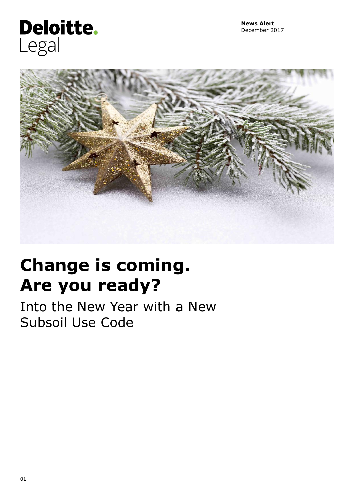## Deloitte. Legal



# **Change is coming. Are you ready?**

Into the New Year with a New Subsoil Use Code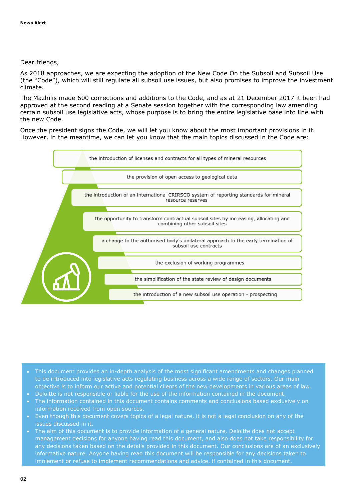### Dear friends,

As 2018 approaches, we are expecting the adoption of the New Code On the Subsoil and Subsoil Use (the "Code"), which will still regulate all subsoil use issues, but also promises to improve the investment climate.

The Mazhilis made 600 corrections and additions to the Code, and as at 21 December 2017 it been had approved at the second reading at a Senate session together with the corresponding law amending certain subsoil use legislative acts, whose purpose is to bring the entire legislative base into line with the new Code.

Once the president signs the Code, we will let you know about the most important provisions in it. However, in the meantime, we can let you know that the main topics discussed in the Code are:



- This document provides an in-depth analysis of the most significant amendments and changes planned to be introduced into legislative acts regulating business across a wide range of sectors. Our main objective is to inform our active and potential clients of the new developments in various areas of law.
- Deloitte is not responsible or liable for the use of the information contained in the document.
- The information contained in this document contains comments and conclusions based exclusively on information received from open sources.
- Even though this document covers topics of a legal nature, it is not a legal conclusion on any of the issues discussed in it.
- The aim of this document is to provide information of a general nature. Deloitte does not accept management decisions for anyone having read this document, and also does not take responsibility for any decisions taken based on the details provided in this document. Our conclusions are of an exclusively informative nature. Anyone having read this document will be responsible for any decisions taken to implement or refuse to implement recommendations and advice, if contained in this document.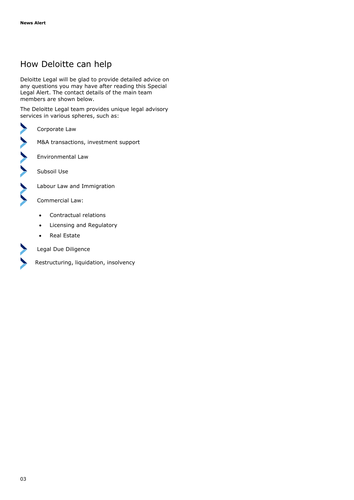## How Deloitte can help

Deloitte Legal will be glad to provide detailed advice on any questions you may have after reading this Special Legal Alert. The contact details of the main team members are shown below.

The Deloitte Legal team provides unique legal advisory services in various spheres, such as:

Corporate Law

M&A transactions, investment support

Environmental Law

Subsoil Use

Labour Law and Immigration

Commercial Law:

- Contractual relations
- Licensing and Regulatory
- Real Estate



 $\blacktriangleright$ 

>>>>>>

Legal Due Diligence

Restructuring, liquidation, insolvency